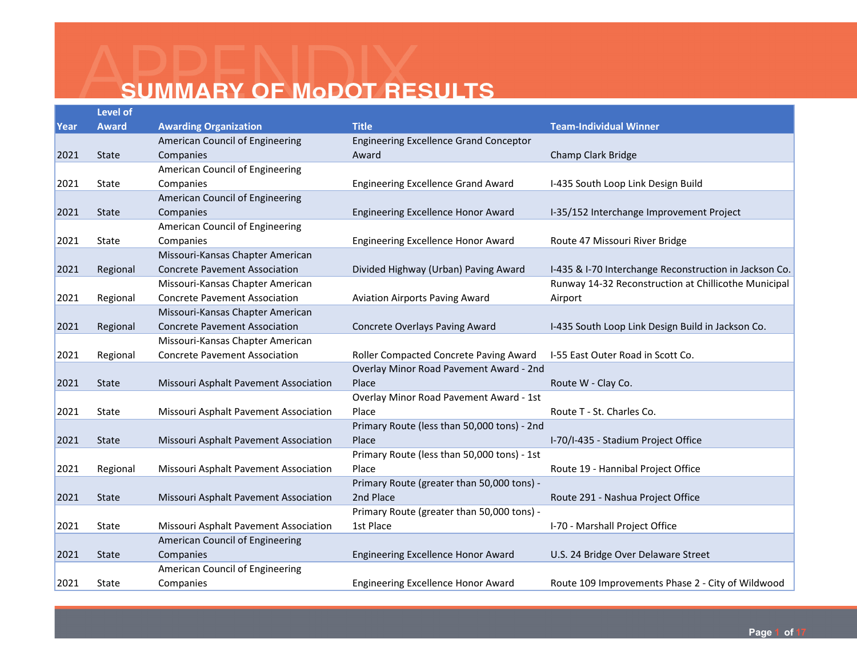|      | <b>Level of</b> |                                       |                                               |                                                        |
|------|-----------------|---------------------------------------|-----------------------------------------------|--------------------------------------------------------|
| Year | <b>Award</b>    | <b>Awarding Organization</b>          | <b>Title</b>                                  | <b>Team-Individual Winner</b>                          |
|      |                 | American Council of Engineering       | <b>Engineering Excellence Grand Conceptor</b> |                                                        |
| 2021 | <b>State</b>    | Companies                             | Award                                         | Champ Clark Bridge                                     |
|      |                 | American Council of Engineering       |                                               |                                                        |
| 2021 | State           | Companies                             | <b>Engineering Excellence Grand Award</b>     | I-435 South Loop Link Design Build                     |
|      |                 | American Council of Engineering       |                                               |                                                        |
| 2021 | <b>State</b>    | Companies                             | Engineering Excellence Honor Award            | I-35/152 Interchange Improvement Project               |
|      |                 | American Council of Engineering       |                                               |                                                        |
| 2021 | State           | Companies                             | Engineering Excellence Honor Award            | Route 47 Missouri River Bridge                         |
|      |                 | Missouri-Kansas Chapter American      |                                               |                                                        |
| 2021 | Regional        | <b>Concrete Pavement Association</b>  | Divided Highway (Urban) Paving Award          | I-435 & I-70 Interchange Reconstruction in Jackson Co. |
|      |                 | Missouri-Kansas Chapter American      |                                               | Runway 14-32 Reconstruction at Chillicothe Municipal   |
| 2021 | Regional        | <b>Concrete Pavement Association</b>  | <b>Aviation Airports Paving Award</b>         | Airport                                                |
|      |                 | Missouri-Kansas Chapter American      |                                               |                                                        |
| 2021 | Regional        | <b>Concrete Pavement Association</b>  | <b>Concrete Overlays Paving Award</b>         | I-435 South Loop Link Design Build in Jackson Co.      |
|      |                 | Missouri-Kansas Chapter American      |                                               |                                                        |
| 2021 | Regional        | <b>Concrete Pavement Association</b>  | Roller Compacted Concrete Paving Award        | I-55 East Outer Road in Scott Co.                      |
|      |                 |                                       | Overlay Minor Road Pavement Award - 2nd       |                                                        |
| 2021 | <b>State</b>    | Missouri Asphalt Pavement Association | Place                                         | Route W - Clay Co.                                     |
|      |                 |                                       | Overlay Minor Road Pavement Award - 1st       |                                                        |
| 2021 | State           | Missouri Asphalt Pavement Association | Place                                         | Route T - St. Charles Co.                              |
|      |                 |                                       | Primary Route (less than 50,000 tons) - 2nd   |                                                        |
| 2021 | <b>State</b>    | Missouri Asphalt Pavement Association | Place                                         | I-70/I-435 - Stadium Project Office                    |
|      |                 |                                       | Primary Route (less than 50,000 tons) - 1st   |                                                        |
| 2021 | Regional        | Missouri Asphalt Pavement Association | Place                                         | Route 19 - Hannibal Project Office                     |
|      |                 |                                       | Primary Route (greater than 50,000 tons) -    |                                                        |
| 2021 | <b>State</b>    | Missouri Asphalt Pavement Association | 2nd Place                                     | Route 291 - Nashua Project Office                      |
|      |                 |                                       | Primary Route (greater than 50,000 tons) -    |                                                        |
| 2021 | State           | Missouri Asphalt Pavement Association | 1st Place                                     | I-70 - Marshall Project Office                         |
|      |                 | American Council of Engineering       |                                               |                                                        |
| 2021 | <b>State</b>    | Companies                             | <b>Engineering Excellence Honor Award</b>     | U.S. 24 Bridge Over Delaware Street                    |
|      |                 | American Council of Engineering       |                                               |                                                        |
| 2021 | State           | Companies                             | Engineering Excellence Honor Award            | Route 109 Improvements Phase 2 - City of Wildwood      |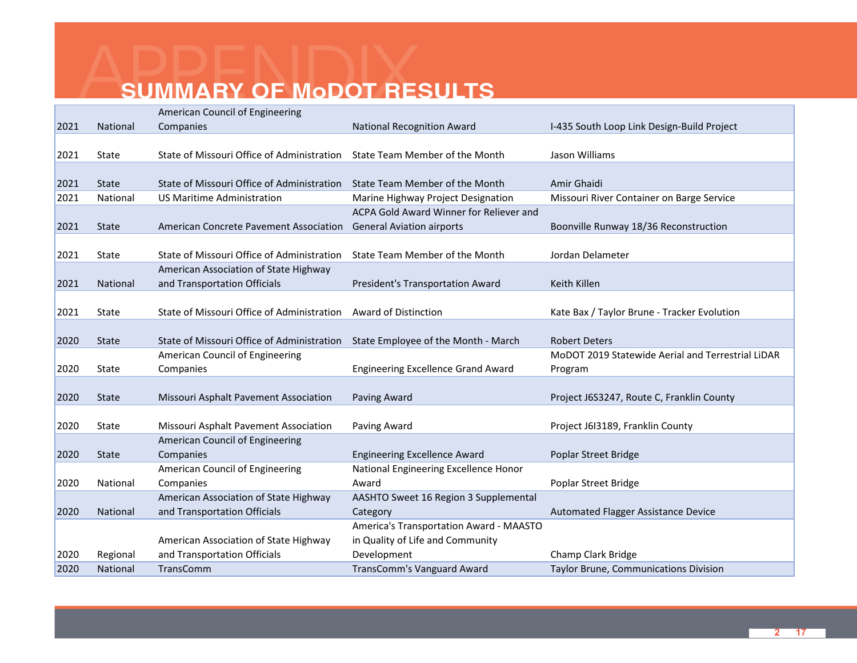|      |                 | American Council of Engineering            |                                           |                                                   |
|------|-----------------|--------------------------------------------|-------------------------------------------|---------------------------------------------------|
| 2021 | National        | Companies                                  | <b>National Recognition Award</b>         | I-435 South Loop Link Design-Build Project        |
|      |                 |                                            |                                           |                                                   |
| 2021 | State           | State of Missouri Office of Administration | State Team Member of the Month            | Jason Williams                                    |
|      |                 |                                            |                                           |                                                   |
| 2021 | <b>State</b>    | State of Missouri Office of Administration | State Team Member of the Month            | Amir Ghaidi                                       |
| 2021 | National        | US Maritime Administration                 | Marine Highway Project Designation        | Missouri River Container on Barge Service         |
|      |                 |                                            | ACPA Gold Award Winner for Reliever and   |                                                   |
| 2021 | <b>State</b>    | American Concrete Pavement Association     | <b>General Aviation airports</b>          | Boonville Runway 18/36 Reconstruction             |
|      |                 |                                            |                                           |                                                   |
| 2021 | State           | State of Missouri Office of Administration | State Team Member of the Month            | Jordan Delameter                                  |
|      |                 | American Association of State Highway      |                                           |                                                   |
| 2021 | National        | and Transportation Officials               | President's Transportation Award          | Keith Killen                                      |
|      |                 |                                            |                                           |                                                   |
| 2021 | State           | State of Missouri Office of Administration | Award of Distinction                      | Kate Bax / Taylor Brune - Tracker Evolution       |
|      |                 |                                            |                                           |                                                   |
| 2020 | <b>State</b>    | State of Missouri Office of Administration | State Employee of the Month - March       | Robert Deters                                     |
|      |                 | American Council of Engineering            |                                           | MoDOT 2019 Statewide Aerial and Terrestrial LiDAR |
| 2020 | State           | Companies                                  | <b>Engineering Excellence Grand Award</b> | Program                                           |
|      |                 |                                            |                                           |                                                   |
| 2020 | <b>State</b>    | Missouri Asphalt Pavement Association      | Paving Award                              | Project J6S3247, Route C, Franklin County         |
|      |                 |                                            |                                           |                                                   |
| 2020 | State           | Missouri Asphalt Pavement Association      | Paving Award                              | Project J6I3189, Franklin County                  |
|      |                 | American Council of Engineering            |                                           |                                                   |
| 2020 | <b>State</b>    | Companies                                  | <b>Engineering Excellence Award</b>       | Poplar Street Bridge                              |
|      |                 | American Council of Engineering            | National Engineering Excellence Honor     |                                                   |
| 2020 | National        | Companies                                  | Award                                     | Poplar Street Bridge                              |
|      |                 | American Association of State Highway      | AASHTO Sweet 16 Region 3 Supplemental     |                                                   |
| 2020 | <b>National</b> | and Transportation Officials               | Category                                  | Automated Flagger Assistance Device               |
|      |                 |                                            | America's Transportation Award - MAASTO   |                                                   |
|      |                 | American Association of State Highway      | in Quality of Life and Community          |                                                   |
| 2020 | Regional        | and Transportation Officials               | Development                               | Champ Clark Bridge                                |
| 2020 | National        | TransComm                                  | TransComm's Vanguard Award                | Taylor Brune, Communications Division             |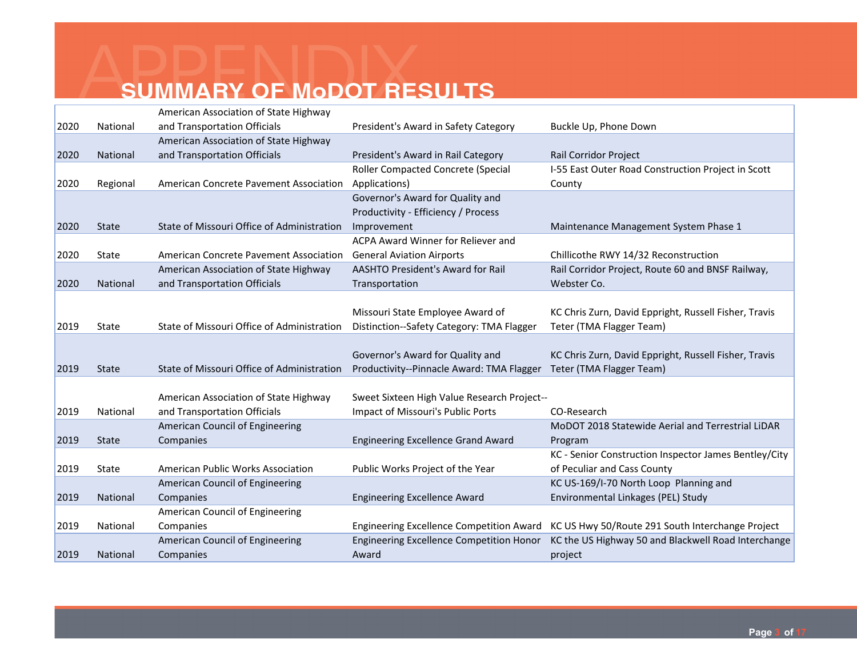|      |              | American Association of State Highway      |                                                 |                                                       |
|------|--------------|--------------------------------------------|-------------------------------------------------|-------------------------------------------------------|
| 2020 | National     | and Transportation Officials               | President's Award in Safety Category            | Buckle Up, Phone Down                                 |
|      |              | American Association of State Highway      |                                                 |                                                       |
| 2020 | National     | and Transportation Officials               | President's Award in Rail Category              | Rail Corridor Project                                 |
|      |              |                                            | Roller Compacted Concrete (Special              | I-55 East Outer Road Construction Project in Scott    |
| 2020 | Regional     | American Concrete Pavement Association     | Applications)                                   | County                                                |
|      |              |                                            | Governor's Award for Quality and                |                                                       |
|      |              |                                            | Productivity - Efficiency / Process             |                                                       |
| 2020 | <b>State</b> | State of Missouri Office of Administration | Improvement                                     | Maintenance Management System Phase 1                 |
|      |              |                                            | ACPA Award Winner for Reliever and              |                                                       |
| 2020 | State        | American Concrete Pavement Association     | <b>General Aviation Airports</b>                | Chillicothe RWY 14/32 Reconstruction                  |
|      |              | American Association of State Highway      | <b>AASHTO President's Award for Rail</b>        | Rail Corridor Project, Route 60 and BNSF Railway,     |
| 2020 | National     | and Transportation Officials               | Transportation                                  | Webster Co.                                           |
|      |              |                                            |                                                 |                                                       |
|      |              |                                            | Missouri State Employee Award of                | KC Chris Zurn, David Eppright, Russell Fisher, Travis |
| 2019 | State        | State of Missouri Office of Administration | Distinction--Safety Category: TMA Flagger       | Teter (TMA Flagger Team)                              |
|      |              |                                            |                                                 |                                                       |
|      |              |                                            | Governor's Award for Quality and                | KC Chris Zurn, David Eppright, Russell Fisher, Travis |
| 2019 | <b>State</b> | State of Missouri Office of Administration | Productivity--Pinnacle Award: TMA Flagger       | Teter (TMA Flagger Team)                              |
|      |              |                                            |                                                 |                                                       |
|      |              | American Association of State Highway      | Sweet Sixteen High Value Research Project--     |                                                       |
| 2019 | National     | and Transportation Officials               | Impact of Missouri's Public Ports               | CO-Research                                           |
|      |              | American Council of Engineering            |                                                 | MoDOT 2018 Statewide Aerial and Terrestrial LiDAR     |
| 2019 | <b>State</b> | Companies                                  | <b>Engineering Excellence Grand Award</b>       | Program                                               |
|      |              |                                            |                                                 | KC - Senior Construction Inspector James Bentley/City |
| 2019 | State        | American Public Works Association          | Public Works Project of the Year                | of Peculiar and Cass County                           |
|      |              | American Council of Engineering            |                                                 | KC US-169/I-70 North Loop Planning and                |
| 2019 | National     | Companies                                  | <b>Engineering Excellence Award</b>             | Environmental Linkages (PEL) Study                    |
|      |              | American Council of Engineering            |                                                 |                                                       |
| 2019 | National     | Companies                                  | <b>Engineering Excellence Competition Award</b> | KC US Hwy 50/Route 291 South Interchange Project      |
|      |              | American Council of Engineering            | <b>Engineering Excellence Competition Honor</b> | KC the US Highway 50 and Blackwell Road Interchange   |
| 2019 | National     | Companies                                  | Award                                           | project                                               |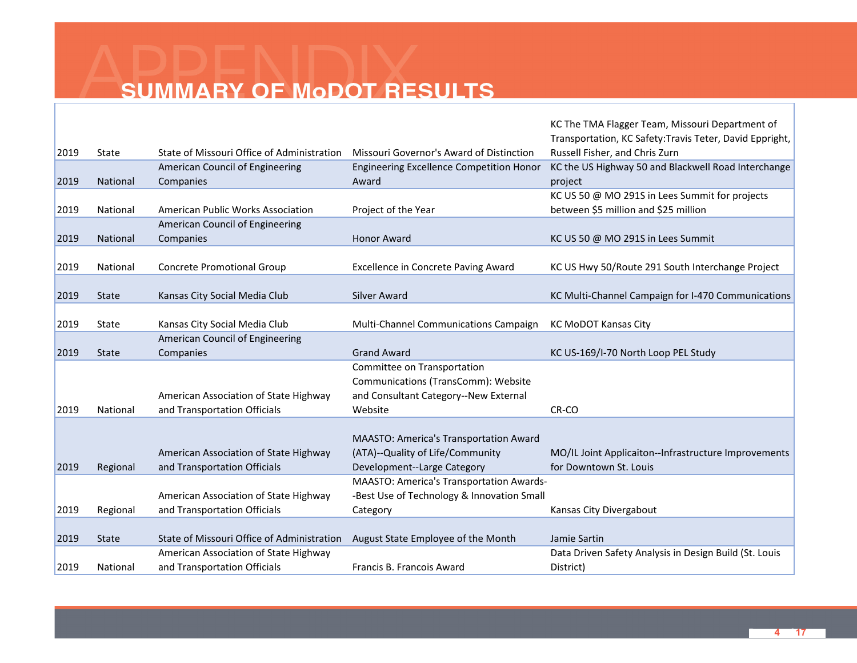|      |                 |                                            |                                                 | KC The TMA Flagger Team, Missouri Department of          |
|------|-----------------|--------------------------------------------|-------------------------------------------------|----------------------------------------------------------|
|      |                 |                                            |                                                 | Transportation, KC Safety: Travis Teter, David Eppright, |
| 2019 | State           | State of Missouri Office of Administration | Missouri Governor's Award of Distinction        | Russell Fisher, and Chris Zurn                           |
|      |                 | American Council of Engineering            | <b>Engineering Excellence Competition Honor</b> | KC the US Highway 50 and Blackwell Road Interchange      |
| 2019 | National        | Companies                                  | Award                                           | project                                                  |
|      |                 |                                            |                                                 | KC US 50 @ MO 291S in Lees Summit for projects           |
| 2019 | National        | American Public Works Association          | Project of the Year                             | between \$5 million and \$25 million                     |
|      |                 | American Council of Engineering            |                                                 |                                                          |
| 2019 | <b>National</b> | Companies                                  | <b>Honor Award</b>                              | KC US 50 @ MO 291S in Lees Summit                        |
|      |                 |                                            |                                                 |                                                          |
| 2019 | National        | <b>Concrete Promotional Group</b>          | Excellence in Concrete Paving Award             | KC US Hwy 50/Route 291 South Interchange Project         |
|      |                 |                                            |                                                 |                                                          |
| 2019 | <b>State</b>    | Kansas City Social Media Club              | Silver Award                                    | KC Multi-Channel Campaign for I-470 Communications       |
|      |                 |                                            |                                                 |                                                          |
| 2019 | State           | Kansas City Social Media Club              | Multi-Channel Communications Campaign           | <b>KC MoDOT Kansas City</b>                              |
|      |                 | American Council of Engineering            |                                                 |                                                          |
| 2019 | <b>State</b>    | Companies                                  | <b>Grand Award</b>                              | KC US-169/I-70 North Loop PEL Study                      |
|      |                 |                                            | Committee on Transportation                     |                                                          |
|      |                 |                                            | Communications (TransComm): Website             |                                                          |
|      |                 | American Association of State Highway      | and Consultant Category--New External           |                                                          |
| 2019 | National        | and Transportation Officials               | Website                                         | CR-CO                                                    |
|      |                 |                                            |                                                 |                                                          |
|      |                 |                                            | MAASTO: America's Transportation Award          |                                                          |
|      |                 | American Association of State Highway      | (ATA)--Quality of Life/Community                | MO/IL Joint Applicaiton--Infrastructure Improvements     |
| 2019 | Regional        | and Transportation Officials               | Development--Large Category                     | for Downtown St. Louis                                   |
|      |                 |                                            | MAASTO: America's Transportation Awards-        |                                                          |
|      |                 | American Association of State Highway      | -Best Use of Technology & Innovation Small      |                                                          |
| 2019 | Regional        | and Transportation Officials               | Category                                        | Kansas City Divergabout                                  |
|      |                 |                                            |                                                 |                                                          |
| 2019 | <b>State</b>    | State of Missouri Office of Administration | August State Employee of the Month              | Jamie Sartin                                             |
|      |                 | American Association of State Highway      |                                                 | Data Driven Safety Analysis in Design Build (St. Louis   |
| 2019 | National        | and Transportation Officials               | Francis B. Francois Award                       | District)                                                |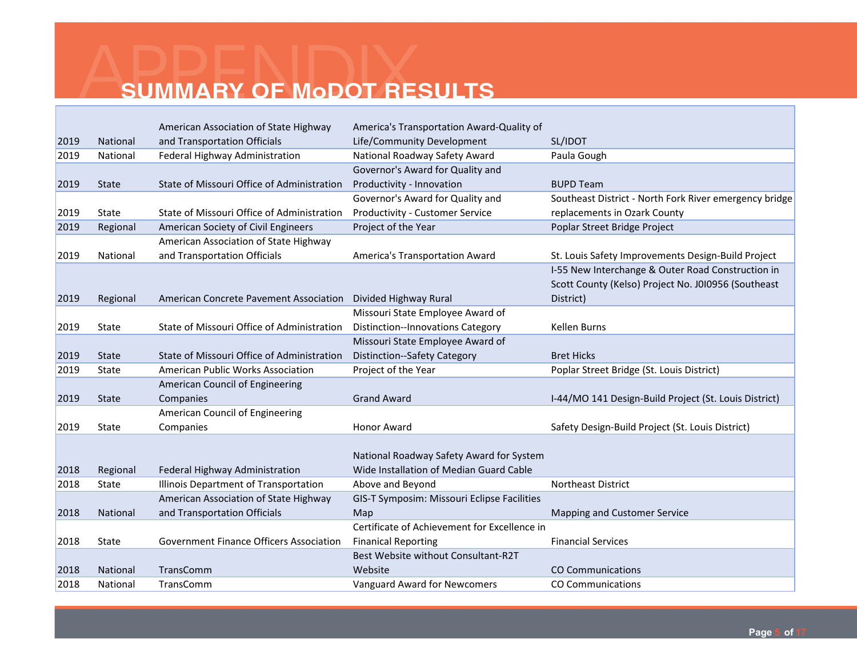|      |                 | American Association of State Highway          | America's Transportation Award-Quality of    |                                                        |
|------|-----------------|------------------------------------------------|----------------------------------------------|--------------------------------------------------------|
| 2019 | National        | and Transportation Officials                   | Life/Community Development                   | SL/IDOT                                                |
| 2019 | National        | Federal Highway Administration                 | National Roadway Safety Award                | Paula Gough                                            |
|      |                 |                                                | Governor's Award for Quality and             |                                                        |
| 2019 | <b>State</b>    | State of Missouri Office of Administration     | Productivity - Innovation                    | <b>BUPD Team</b>                                       |
|      |                 |                                                | Governor's Award for Quality and             | Southeast District - North Fork River emergency bridge |
| 2019 | State           | State of Missouri Office of Administration     | Productivity - Customer Service              | replacements in Ozark County                           |
| 2019 | Regional        | American Society of Civil Engineers            | Project of the Year                          | Poplar Street Bridge Project                           |
|      |                 | American Association of State Highway          |                                              |                                                        |
| 2019 | National        | and Transportation Officials                   | <b>America's Transportation Award</b>        | St. Louis Safety Improvements Design-Build Project     |
|      |                 |                                                |                                              | I-55 New Interchange & Outer Road Construction in      |
|      |                 |                                                |                                              | Scott County (Kelso) Project No. J010956 (Southeast    |
| 2019 | Regional        | American Concrete Pavement Association         | Divided Highway Rural                        | District)                                              |
|      |                 |                                                | Missouri State Employee Award of             |                                                        |
| 2019 | State           | State of Missouri Office of Administration     | <b>Distinction--Innovations Category</b>     | <b>Kellen Burns</b>                                    |
|      |                 |                                                | Missouri State Employee Award of             |                                                        |
| 2019 | <b>State</b>    | State of Missouri Office of Administration     | <b>Distinction--Safety Category</b>          | <b>Bret Hicks</b>                                      |
| 2019 | State           | American Public Works Association              | Project of the Year                          | Poplar Street Bridge (St. Louis District)              |
|      |                 | American Council of Engineering                |                                              |                                                        |
| 2019 | <b>State</b>    | Companies                                      | <b>Grand Award</b>                           | I-44/MO 141 Design-Build Project (St. Louis District)  |
|      |                 | American Council of Engineering                |                                              |                                                        |
| 2019 | State           | Companies                                      | Honor Award                                  | Safety Design-Build Project (St. Louis District)       |
|      |                 |                                                |                                              |                                                        |
|      |                 |                                                | National Roadway Safety Award for System     |                                                        |
| 2018 | Regional        | Federal Highway Administration                 | Wide Installation of Median Guard Cable      |                                                        |
| 2018 | State           | Illinois Department of Transportation          | Above and Beyond                             | Northeast District                                     |
|      |                 | American Association of State Highway          | GIS-T Symposim: Missouri Eclipse Facilities  |                                                        |
| 2018 | National        | and Transportation Officials                   | Map                                          | Mapping and Customer Service                           |
|      |                 |                                                | Certificate of Achievement for Excellence in |                                                        |
| 2018 | State           | <b>Government Finance Officers Association</b> | <b>Finanical Reporting</b>                   | <b>Financial Services</b>                              |
|      |                 |                                                | Best Website without Consultant-R2T          |                                                        |
| 2018 | <b>National</b> | TransComm                                      | Website                                      | <b>CO Communications</b>                               |
| 2018 | National        | TransComm                                      | Vanguard Award for Newcomers                 | <b>CO Communications</b>                               |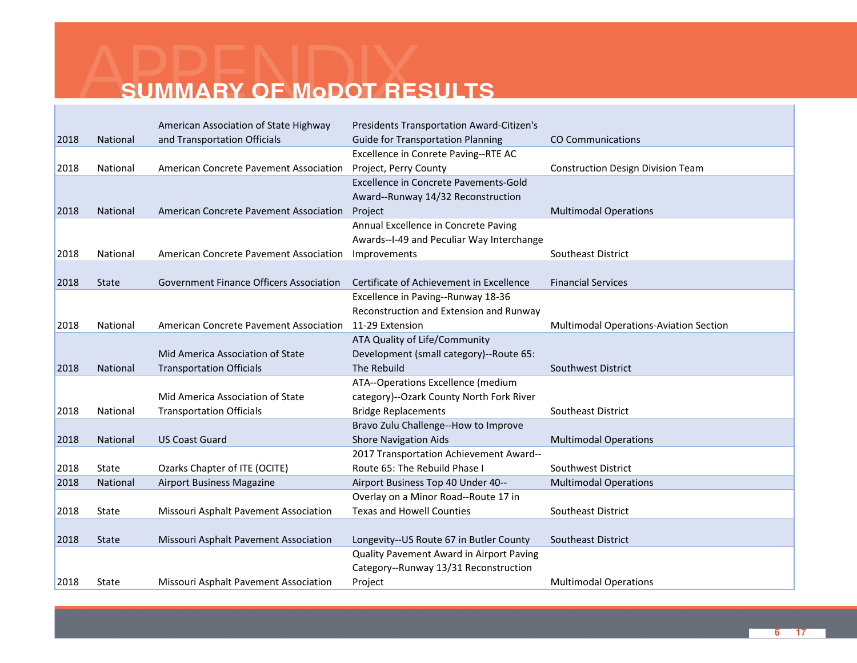|      |              | American Association of State Highway          | <b>Presidents Transportation Award-Citizen's</b> |                                          |
|------|--------------|------------------------------------------------|--------------------------------------------------|------------------------------------------|
| 2018 | National     | and Transportation Officials                   | <b>Guide for Transportation Planning</b>         | <b>CO Communications</b>                 |
|      |              |                                                | Excellence in Conrete Paving--RTE AC             |                                          |
| 2018 | National     | American Concrete Pavement Association         | Project, Perry County                            | <b>Construction Design Division Team</b> |
|      |              |                                                | <b>Excellence in Concrete Pavements-Gold</b>     |                                          |
|      |              |                                                | Award--Runway 14/32 Reconstruction               |                                          |
| 2018 | National     | American Concrete Pavement Association         | Project                                          | <b>Multimodal Operations</b>             |
|      |              |                                                | Annual Excellence in Concrete Paving             |                                          |
|      |              |                                                | Awards--I-49 and Peculiar Way Interchange        |                                          |
| 2018 | National     | American Concrete Pavement Association         | Improvements                                     | Southeast District                       |
|      |              |                                                |                                                  |                                          |
| 2018 | <b>State</b> | <b>Government Finance Officers Association</b> | Certificate of Achievement in Excellence         | <b>Financial Services</b>                |
|      |              |                                                | Excellence in Paving--Runway 18-36               |                                          |
|      |              |                                                | Reconstruction and Extension and Runway          |                                          |
| 2018 | National     | American Concrete Pavement Association         | 11-29 Extension                                  | Multimodal Operations-Aviation Section   |
|      |              |                                                | ATA Quality of Life/Community                    |                                          |
|      |              | Mid America Association of State               | Development (small category)--Route 65:          |                                          |
| 2018 | National     | <b>Transportation Officials</b>                | The Rebuild                                      | Southwest District                       |
|      |              |                                                | ATA--Operations Excellence (medium               |                                          |
|      |              | Mid America Association of State               | category)--Ozark County North Fork River         |                                          |
| 2018 | National     | <b>Transportation Officials</b>                | <b>Bridge Replacements</b>                       | <b>Southeast District</b>                |
|      |              |                                                | Bravo Zulu Challenge--How to Improve             |                                          |
| 2018 | National     | <b>US Coast Guard</b>                          | <b>Shore Navigation Aids</b>                     | <b>Multimodal Operations</b>             |
|      |              |                                                | 2017 Transportation Achievement Award--          |                                          |
| 2018 | State        | Ozarks Chapter of ITE (OCITE)                  | Route 65: The Rebuild Phase I                    | Southwest District                       |
| 2018 | National     | <b>Airport Business Magazine</b>               | Airport Business Top 40 Under 40--               | <b>Multimodal Operations</b>             |
|      |              |                                                | Overlay on a Minor Road--Route 17 in             |                                          |
| 2018 | State        | Missouri Asphalt Pavement Association          | <b>Texas and Howell Counties</b>                 | Southeast District                       |
|      |              |                                                |                                                  |                                          |
| 2018 | State        | Missouri Asphalt Pavement Association          | Longevity--US Route 67 in Butler County          | Southeast District                       |
|      |              |                                                | Quality Pavement Award in Airport Paving         |                                          |
|      |              |                                                | Category--Runway 13/31 Reconstruction            |                                          |
| 2018 | State        | Missouri Asphalt Pavement Association          | Project                                          | <b>Multimodal Operations</b>             |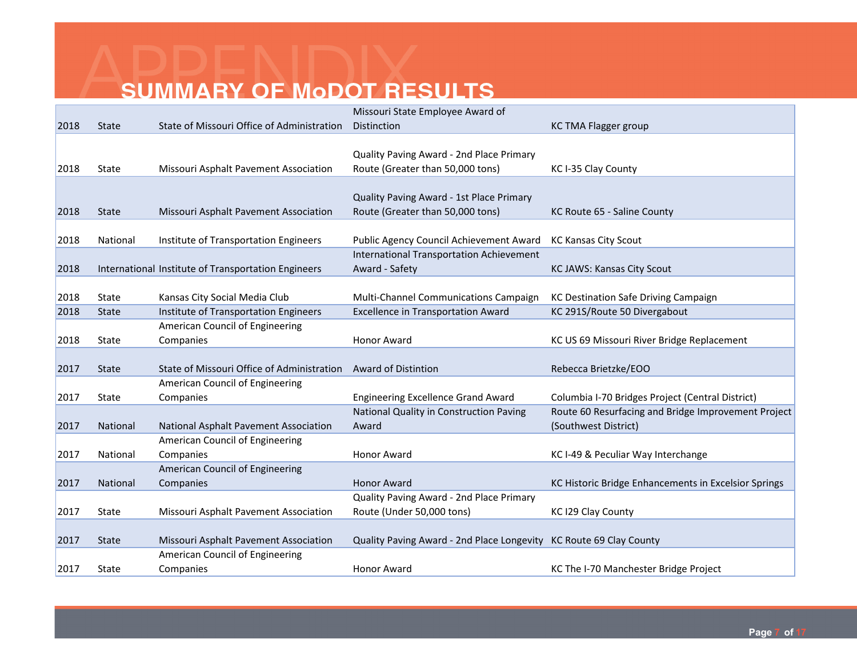|      |              |                                                     | Missouri State Employee Award of                                   |                                                      |
|------|--------------|-----------------------------------------------------|--------------------------------------------------------------------|------------------------------------------------------|
| 2018 | <b>State</b> | State of Missouri Office of Administration          | Distinction                                                        | <b>KC TMA Flagger group</b>                          |
|      |              |                                                     |                                                                    |                                                      |
|      |              |                                                     | Quality Paving Award - 2nd Place Primary                           |                                                      |
| 2018 | State        | Missouri Asphalt Pavement Association               | Route (Greater than 50,000 tons)                                   | KC I-35 Clay County                                  |
|      |              |                                                     |                                                                    |                                                      |
|      |              |                                                     | Quality Paving Award - 1st Place Primary                           |                                                      |
| 2018 | <b>State</b> | Missouri Asphalt Pavement Association               | Route (Greater than 50,000 tons)                                   | KC Route 65 - Saline County                          |
|      |              |                                                     |                                                                    |                                                      |
| 2018 | National     | Institute of Transportation Engineers               | Public Agency Council Achievement Award                            | <b>KC Kansas City Scout</b>                          |
|      |              |                                                     | <b>International Transportation Achievement</b>                    |                                                      |
| 2018 |              | International Institute of Transportation Engineers | Award - Safety                                                     | KC JAWS: Kansas City Scout                           |
|      |              |                                                     |                                                                    |                                                      |
| 2018 | State        | Kansas City Social Media Club                       | Multi-Channel Communications Campaign                              | KC Destination Safe Driving Campaign                 |
| 2018 | <b>State</b> | Institute of Transportation Engineers               | <b>Excellence in Transportation Award</b>                          | KC 291S/Route 50 Divergabout                         |
|      |              | American Council of Engineering                     |                                                                    |                                                      |
| 2018 | State        | Companies                                           | <b>Honor Award</b>                                                 | KC US 69 Missouri River Bridge Replacement           |
|      |              |                                                     |                                                                    |                                                      |
| 2017 | <b>State</b> | State of Missouri Office of Administration          | <b>Award of Distintion</b>                                         | Rebecca Brietzke/EOO                                 |
|      |              | American Council of Engineering                     |                                                                    |                                                      |
| 2017 | State        | Companies                                           | <b>Engineering Excellence Grand Award</b>                          | Columbia I-70 Bridges Project (Central District)     |
|      |              |                                                     | National Quality in Construction Paving                            | Route 60 Resurfacing and Bridge Improvement Project  |
| 2017 | National     | National Asphalt Pavement Association               | Award                                                              | (Southwest District)                                 |
|      |              | American Council of Engineering                     |                                                                    |                                                      |
| 2017 | National     | Companies                                           | <b>Honor Award</b>                                                 | KC I-49 & Peculiar Way Interchange                   |
|      |              | American Council of Engineering                     |                                                                    |                                                      |
| 2017 | National     | Companies                                           | <b>Honor Award</b>                                                 | KC Historic Bridge Enhancements in Excelsior Springs |
|      |              |                                                     | Quality Paving Award - 2nd Place Primary                           |                                                      |
| 2017 | State        | Missouri Asphalt Pavement Association               | Route (Under 50,000 tons)                                          | KC I29 Clay County                                   |
|      |              |                                                     |                                                                    |                                                      |
| 2017 | <b>State</b> | Missouri Asphalt Pavement Association               | Quality Paving Award - 2nd Place Longevity KC Route 69 Clay County |                                                      |
|      |              | American Council of Engineering                     |                                                                    |                                                      |
| 2017 | State        | Companies                                           | <b>Honor Award</b>                                                 | KC The I-70 Manchester Bridge Project                |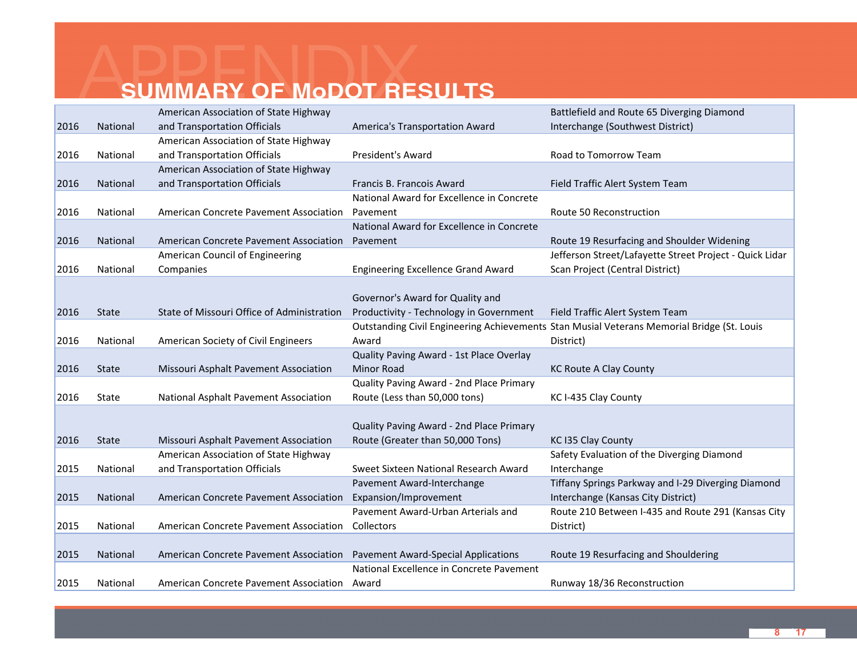|      |              | American Association of State Highway      |                                            | Battlefield and Route 65 Diverging Diamond                                                 |
|------|--------------|--------------------------------------------|--------------------------------------------|--------------------------------------------------------------------------------------------|
| 2016 | National     | and Transportation Officials               | America's Transportation Award             | Interchange (Southwest District)                                                           |
|      |              | American Association of State Highway      |                                            |                                                                                            |
| 2016 | National     | and Transportation Officials               | President's Award                          | Road to Tomorrow Team                                                                      |
|      |              | American Association of State Highway      |                                            |                                                                                            |
| 2016 | National     | and Transportation Officials               | Francis B. Francois Award                  | Field Traffic Alert System Team                                                            |
|      |              |                                            | National Award for Excellence in Concrete  |                                                                                            |
| 2016 | National     | American Concrete Pavement Association     | Pavement                                   | Route 50 Reconstruction                                                                    |
|      |              |                                            | National Award for Excellence in Concrete  |                                                                                            |
| 2016 | National     | American Concrete Pavement Association     | Pavement                                   | Route 19 Resurfacing and Shoulder Widening                                                 |
|      |              | American Council of Engineering            |                                            | Jefferson Street/Lafayette Street Project - Quick Lidar                                    |
| 2016 | National     | Companies                                  | <b>Engineering Excellence Grand Award</b>  | Scan Project (Central District)                                                            |
|      |              |                                            |                                            |                                                                                            |
|      |              |                                            | Governor's Award for Quality and           |                                                                                            |
| 2016 | State        | State of Missouri Office of Administration | Productivity - Technology in Government    | Field Traffic Alert System Team                                                            |
|      |              |                                            |                                            | Outstanding Civil Engineering Achievements Stan Musial Veterans Memorial Bridge (St. Louis |
| 2016 | National     | American Society of Civil Engineers        | Award                                      | District)                                                                                  |
|      |              |                                            | Quality Paving Award - 1st Place Overlay   |                                                                                            |
| 2016 | <b>State</b> | Missouri Asphalt Pavement Association      | <b>Minor Road</b>                          | <b>KC Route A Clay County</b>                                                              |
|      |              |                                            | Quality Paving Award - 2nd Place Primary   |                                                                                            |
| 2016 | State        | National Asphalt Pavement Association      | Route (Less than 50,000 tons)              | KC I-435 Clay County                                                                       |
|      |              |                                            |                                            |                                                                                            |
|      |              |                                            | Quality Paving Award - 2nd Place Primary   |                                                                                            |
| 2016 | <b>State</b> | Missouri Asphalt Pavement Association      | Route (Greater than 50,000 Tons)           | KC I35 Clay County                                                                         |
|      |              | American Association of State Highway      |                                            | Safety Evaluation of the Diverging Diamond                                                 |
| 2015 | National     | and Transportation Officials               | Sweet Sixteen National Research Award      | Interchange                                                                                |
|      |              |                                            | Pavement Award-Interchange                 | Tiffany Springs Parkway and I-29 Diverging Diamond                                         |
| 2015 | National     | American Concrete Pavement Association     | Expansion/Improvement                      | Interchange (Kansas City District)                                                         |
|      |              |                                            | Pavement Award-Urban Arterials and         | Route 210 Between I-435 and Route 291 (Kansas City                                         |
| 2015 | National     | American Concrete Pavement Association     | Collectors                                 | District)                                                                                  |
|      |              |                                            |                                            |                                                                                            |
| 2015 | National     | American Concrete Pavement Association     | <b>Pavement Award-Special Applications</b> | Route 19 Resurfacing and Shouldering                                                       |
|      |              |                                            | National Excellence in Concrete Pavement   |                                                                                            |
| 2015 | National     | American Concrete Pavement Association     | Award                                      | Runway 18/36 Reconstruction                                                                |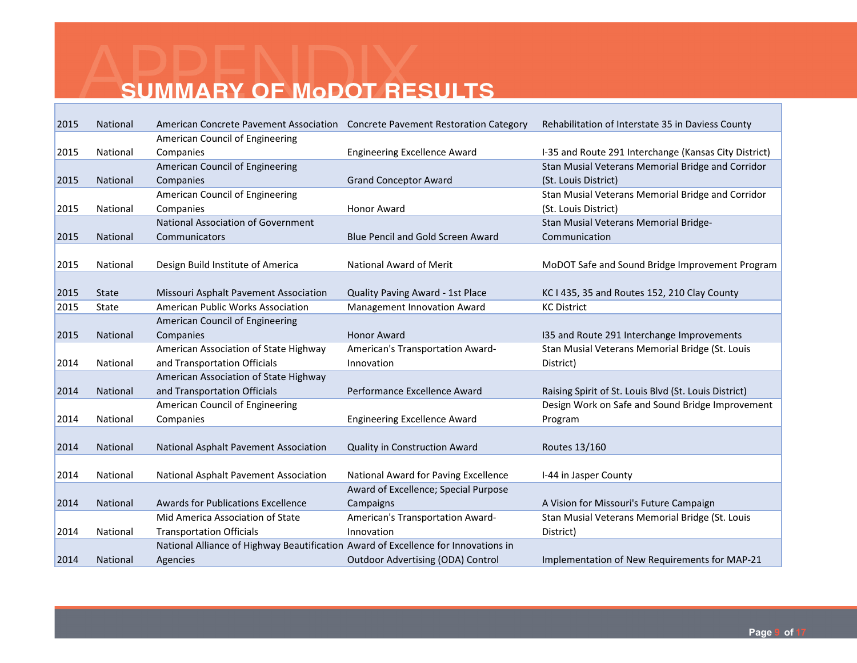| 2015 | National        | American Concrete Pavement Association  Concrete Pavement Restoration Category     |                                          | Rehabilitation of Interstate 35 in Daviess County     |
|------|-----------------|------------------------------------------------------------------------------------|------------------------------------------|-------------------------------------------------------|
|      |                 | American Council of Engineering                                                    |                                          |                                                       |
| 2015 | National        | Companies                                                                          | <b>Engineering Excellence Award</b>      | I-35 and Route 291 Interchange (Kansas City District) |
|      |                 | American Council of Engineering                                                    |                                          | Stan Musial Veterans Memorial Bridge and Corridor     |
| 2015 | National        | Companies                                                                          | <b>Grand Conceptor Award</b>             | (St. Louis District)                                  |
|      |                 | American Council of Engineering                                                    |                                          | Stan Musial Veterans Memorial Bridge and Corridor     |
| 2015 | National        | Companies                                                                          | <b>Honor Award</b>                       | (St. Louis District)                                  |
|      |                 | <b>National Association of Government</b>                                          |                                          | Stan Musial Veterans Memorial Bridge-                 |
| 2015 | National        | Communicators                                                                      | <b>Blue Pencil and Gold Screen Award</b> | Communication                                         |
|      |                 |                                                                                    |                                          |                                                       |
| 2015 | National        | Design Build Institute of America                                                  | <b>National Award of Merit</b>           | MoDOT Safe and Sound Bridge Improvement Program       |
|      |                 |                                                                                    |                                          |                                                       |
| 2015 | <b>State</b>    | Missouri Asphalt Pavement Association                                              | Quality Paving Award - 1st Place         | KC I 435, 35 and Routes 152, 210 Clay County          |
| 2015 | State           | American Public Works Association                                                  | Management Innovation Award              | <b>KC District</b>                                    |
|      |                 | American Council of Engineering                                                    |                                          |                                                       |
| 2015 | National        | Companies                                                                          | <b>Honor Award</b>                       | I35 and Route 291 Interchange Improvements            |
|      |                 | American Association of State Highway                                              | American's Transportation Award-         | Stan Musial Veterans Memorial Bridge (St. Louis       |
| 2014 | National        | and Transportation Officials                                                       | Innovation                               | District)                                             |
|      |                 | American Association of State Highway                                              |                                          |                                                       |
| 2014 | <b>National</b> | and Transportation Officials                                                       | Performance Excellence Award             | Raising Spirit of St. Louis Blvd (St. Louis District) |
|      |                 | American Council of Engineering                                                    |                                          | Design Work on Safe and Sound Bridge Improvement      |
| 2014 | National        | Companies                                                                          | <b>Engineering Excellence Award</b>      | Program                                               |
|      |                 |                                                                                    |                                          |                                                       |
| 2014 | National        | National Asphalt Pavement Association                                              | <b>Quality in Construction Award</b>     | Routes 13/160                                         |
|      |                 |                                                                                    |                                          |                                                       |
| 2014 | National        | National Asphalt Pavement Association                                              | National Award for Paving Excellence     | I-44 in Jasper County                                 |
|      |                 |                                                                                    | Award of Excellence; Special Purpose     |                                                       |
| 2014 | <b>National</b> | <b>Awards for Publications Excellence</b>                                          | Campaigns                                | A Vision for Missouri's Future Campaign               |
|      |                 | Mid America Association of State                                                   | American's Transportation Award-         | Stan Musial Veterans Memorial Bridge (St. Louis       |
| 2014 | National        | <b>Transportation Officials</b>                                                    | Innovation                               | District)                                             |
|      |                 | National Alliance of Highway Beautification Award of Excellence for Innovations in |                                          |                                                       |
| 2014 | <b>National</b> | Agencies                                                                           | <b>Outdoor Advertising (ODA) Control</b> | Implementation of New Requirements for MAP-21         |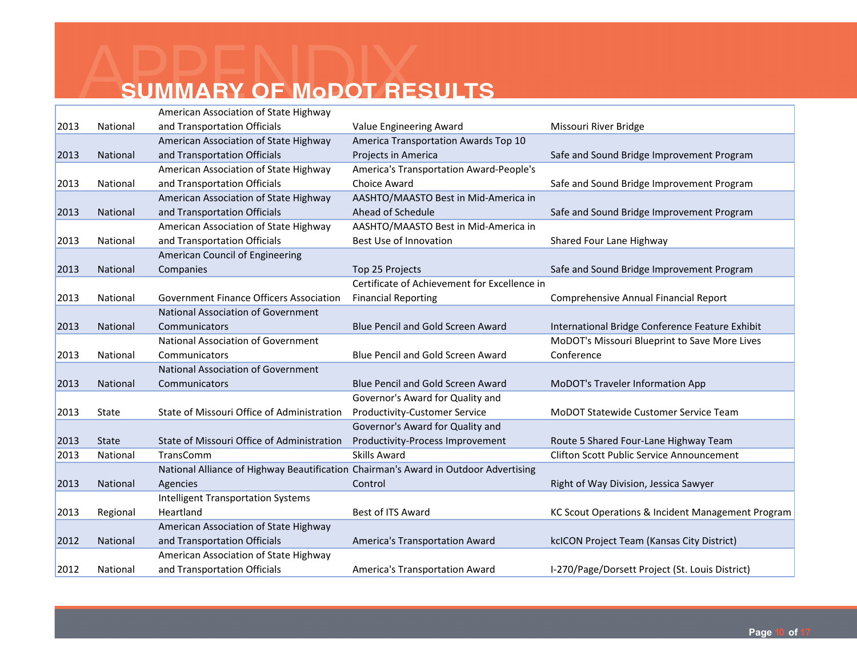|      |                 | American Association of State Highway      |                                                                                     |                                                   |
|------|-----------------|--------------------------------------------|-------------------------------------------------------------------------------------|---------------------------------------------------|
| 2013 | National        | and Transportation Officials               | Value Engineering Award                                                             | Missouri River Bridge                             |
|      |                 | American Association of State Highway      | America Transportation Awards Top 10                                                |                                                   |
| 2013 | National        | and Transportation Officials               | Projects in America                                                                 | Safe and Sound Bridge Improvement Program         |
|      |                 | American Association of State Highway      | America's Transportation Award-People's                                             |                                                   |
| 2013 | National        | and Transportation Officials               | Choice Award                                                                        | Safe and Sound Bridge Improvement Program         |
|      |                 | American Association of State Highway      | AASHTO/MAASTO Best in Mid-America in                                                |                                                   |
| 2013 | National        | and Transportation Officials               | Ahead of Schedule                                                                   | Safe and Sound Bridge Improvement Program         |
|      |                 | American Association of State Highway      | AASHTO/MAASTO Best in Mid-America in                                                |                                                   |
| 2013 | National        | and Transportation Officials               | Best Use of Innovation                                                              | Shared Four Lane Highway                          |
|      |                 | American Council of Engineering            |                                                                                     |                                                   |
| 2013 | <b>National</b> | Companies                                  | Top 25 Projects                                                                     | Safe and Sound Bridge Improvement Program         |
|      |                 |                                            | Certificate of Achievement for Excellence in                                        |                                                   |
| 2013 | National        | Government Finance Officers Association    | <b>Financial Reporting</b>                                                          | Comprehensive Annual Financial Report             |
|      |                 | <b>National Association of Government</b>  |                                                                                     |                                                   |
| 2013 | <b>National</b> | Communicators                              | <b>Blue Pencil and Gold Screen Award</b>                                            | International Bridge Conference Feature Exhibit   |
|      |                 | <b>National Association of Government</b>  |                                                                                     | MoDOT's Missouri Blueprint to Save More Lives     |
| 2013 | National        | Communicators                              | <b>Blue Pencil and Gold Screen Award</b>                                            | Conference                                        |
|      |                 | <b>National Association of Government</b>  |                                                                                     |                                                   |
| 2013 | National        | Communicators                              | Blue Pencil and Gold Screen Award                                                   | MoDOT's Traveler Information App                  |
|      |                 |                                            | Governor's Award for Quality and                                                    |                                                   |
| 2013 | State           | State of Missouri Office of Administration | <b>Productivity-Customer Service</b>                                                | MoDOT Statewide Customer Service Team             |
|      |                 |                                            | Governor's Award for Quality and                                                    |                                                   |
| 2013 | <b>State</b>    | State of Missouri Office of Administration | Productivity-Process Improvement                                                    | Route 5 Shared Four-Lane Highway Team             |
| 2013 | National        | TransComm                                  | <b>Skills Award</b>                                                                 | <b>Clifton Scott Public Service Announcement</b>  |
|      |                 |                                            | National Alliance of Highway Beautification Chairman's Award in Outdoor Advertising |                                                   |
| 2013 | National        | Agencies                                   | Control                                                                             | Right of Way Division, Jessica Sawyer             |
|      |                 | <b>Intelligent Transportation Systems</b>  |                                                                                     |                                                   |
| 2013 | Regional        | Heartland                                  | Best of ITS Award                                                                   | KC Scout Operations & Incident Management Program |
|      |                 | American Association of State Highway      |                                                                                     |                                                   |
| 2012 | National        | and Transportation Officials               | America's Transportation Award                                                      | kcICON Project Team (Kansas City District)        |
|      |                 | American Association of State Highway      |                                                                                     |                                                   |
| 2012 | National        | and Transportation Officials               | America's Transportation Award                                                      | I-270/Page/Dorsett Project (St. Louis District)   |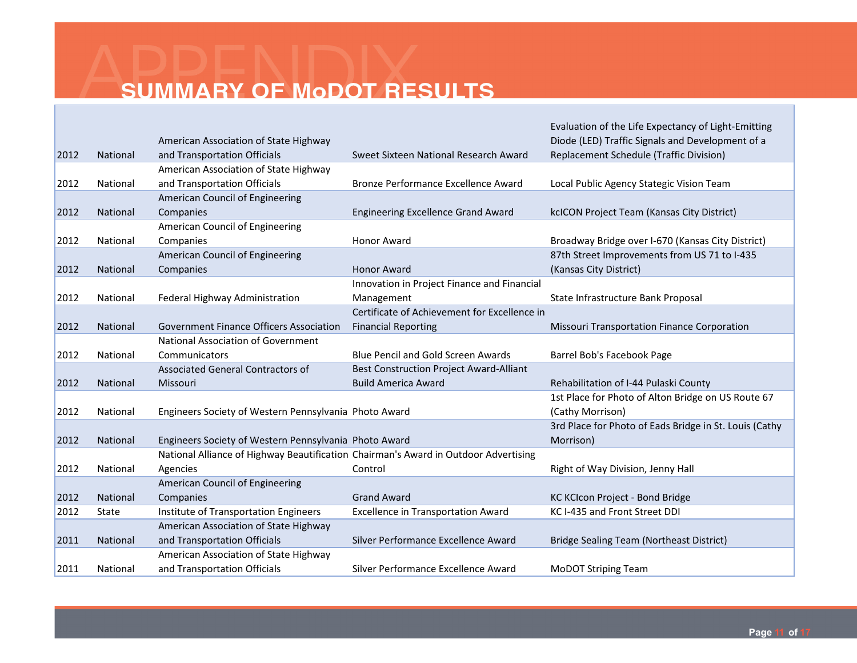|      |                 |                                                                                     |                                                | Evaluation of the Life Expectancy of Light-Emitting    |
|------|-----------------|-------------------------------------------------------------------------------------|------------------------------------------------|--------------------------------------------------------|
|      |                 | American Association of State Highway                                               |                                                | Diode (LED) Traffic Signals and Development of a       |
| 2012 | National        | and Transportation Officials                                                        | Sweet Sixteen National Research Award          | Replacement Schedule (Traffic Division)                |
|      |                 | American Association of State Highway                                               |                                                |                                                        |
| 2012 | National        | and Transportation Officials                                                        | Bronze Performance Excellence Award            | Local Public Agency Stategic Vision Team               |
|      |                 | American Council of Engineering                                                     |                                                |                                                        |
| 2012 | National        | Companies                                                                           | <b>Engineering Excellence Grand Award</b>      | kcICON Project Team (Kansas City District)             |
|      |                 | American Council of Engineering                                                     |                                                |                                                        |
| 2012 | National        | Companies                                                                           | <b>Honor Award</b>                             | Broadway Bridge over I-670 (Kansas City District)      |
|      |                 | American Council of Engineering                                                     |                                                | 87th Street Improvements from US 71 to I-435           |
| 2012 | <b>National</b> | Companies                                                                           | <b>Honor Award</b>                             | (Kansas City District)                                 |
|      |                 |                                                                                     | Innovation in Project Finance and Financial    |                                                        |
| 2012 | National        | Federal Highway Administration                                                      | Management                                     | State Infrastructure Bank Proposal                     |
|      |                 |                                                                                     | Certificate of Achievement for Excellence in   |                                                        |
| 2012 | National        | <b>Government Finance Officers Association</b>                                      | <b>Financial Reporting</b>                     | <b>Missouri Transportation Finance Corporation</b>     |
|      |                 | <b>National Association of Government</b>                                           |                                                |                                                        |
| 2012 | National        | Communicators                                                                       | <b>Blue Pencil and Gold Screen Awards</b>      | Barrel Bob's Facebook Page                             |
|      |                 | Associated General Contractors of                                                   | <b>Best Construction Project Award-Alliant</b> |                                                        |
| 2012 | National        | Missouri                                                                            | <b>Build America Award</b>                     | Rehabilitation of I-44 Pulaski County                  |
|      |                 |                                                                                     |                                                | 1st Place for Photo of Alton Bridge on US Route 67     |
| 2012 | National        | Engineers Society of Western Pennsylvania Photo Award                               |                                                | (Cathy Morrison)                                       |
|      |                 |                                                                                     |                                                | 3rd Place for Photo of Eads Bridge in St. Louis (Cathy |
| 2012 | National        | Engineers Society of Western Pennsylvania Photo Award                               |                                                | Morrison)                                              |
|      |                 | National Alliance of Highway Beautification Chairman's Award in Outdoor Advertising |                                                |                                                        |
| 2012 | National        | Agencies                                                                            | Control                                        | Right of Way Division, Jenny Hall                      |
|      |                 | American Council of Engineering                                                     |                                                |                                                        |
| 2012 | National        | Companies                                                                           | <b>Grand Award</b>                             | KC KCIcon Project - Bond Bridge                        |
| 2012 | <b>State</b>    | Institute of Transportation Engineers                                               | <b>Excellence in Transportation Award</b>      | KC I-435 and Front Street DDI                          |
|      |                 | American Association of State Highway                                               |                                                |                                                        |
| 2011 | National        | and Transportation Officials                                                        | Silver Performance Excellence Award            | <b>Bridge Sealing Team (Northeast District)</b>        |
|      |                 | American Association of State Highway                                               |                                                |                                                        |
| 2011 | National        | and Transportation Officials                                                        | Silver Performance Excellence Award            | <b>MoDOT Striping Team</b>                             |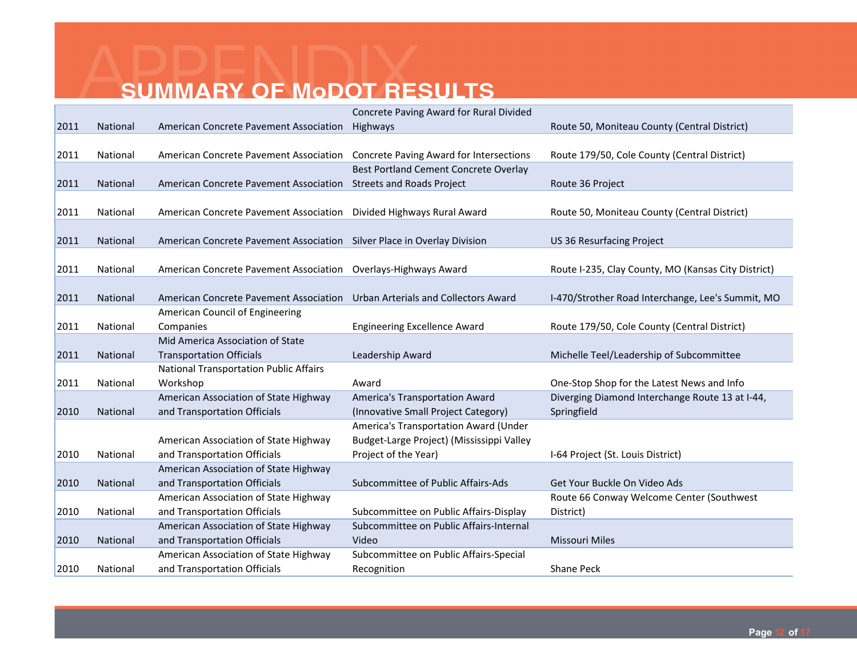|      |          |                                                                         | Concrete Paving Award for Rural Divided        |                                                     |
|------|----------|-------------------------------------------------------------------------|------------------------------------------------|-----------------------------------------------------|
| 2011 | National | American Concrete Pavement Association                                  | Highways                                       | Route 50, Moniteau County (Central District)        |
|      |          |                                                                         |                                                |                                                     |
| 2011 | National | American Concrete Pavement Association                                  | <b>Concrete Paving Award for Intersections</b> | Route 179/50, Cole County (Central District)        |
|      |          |                                                                         | Best Portland Cement Concrete Overlay          |                                                     |
| 2011 | National | <b>American Concrete Pavement Association</b>                           | <b>Streets and Roads Project</b>               | Route 36 Project                                    |
|      |          |                                                                         |                                                |                                                     |
| 2011 | National | American Concrete Pavement Association                                  | Divided Highways Rural Award                   | Route 50, Moniteau County (Central District)        |
|      |          |                                                                         |                                                |                                                     |
| 2011 | National | American Concrete Pavement Association Silver Place in Overlay Division |                                                | <b>US 36 Resurfacing Project</b>                    |
|      |          |                                                                         |                                                |                                                     |
| 2011 | National | American Concrete Pavement Association Overlays-Highways Award          |                                                | Route I-235, Clay County, MO (Kansas City District) |
|      |          |                                                                         |                                                |                                                     |
| 2011 | National | American Concrete Pavement Association                                  | Urban Arterials and Collectors Award           | I-470/Strother Road Interchange, Lee's Summit, MO   |
|      |          | American Council of Engineering                                         |                                                |                                                     |
| 2011 | National | Companies                                                               | <b>Engineering Excellence Award</b>            | Route 179/50, Cole County (Central District)        |
|      |          | Mid America Association of State                                        |                                                |                                                     |
| 2011 | National | <b>Transportation Officials</b>                                         | Leadership Award                               | Michelle Teel/Leadership of Subcommittee            |
|      |          | <b>National Transportation Public Affairs</b>                           |                                                |                                                     |
| 2011 | National | Workshop                                                                | Award                                          | One-Stop Shop for the Latest News and Info          |
|      |          | American Association of State Highway                                   | America's Transportation Award                 | Diverging Diamond Interchange Route 13 at I-44,     |
| 2010 | National | and Transportation Officials                                            | (Innovative Small Project Category)            | Springfield                                         |
|      |          |                                                                         | America's Transportation Award (Under          |                                                     |
|      |          | American Association of State Highway                                   | Budget-Large Project) (Mississippi Valley      |                                                     |
| 2010 | National | and Transportation Officials                                            | Project of the Year)                           | I-64 Project (St. Louis District)                   |
|      |          | American Association of State Highway                                   |                                                |                                                     |
| 2010 | National | and Transportation Officials                                            | Subcommittee of Public Affairs-Ads             | Get Your Buckle On Video Ads                        |
|      |          | American Association of State Highway                                   |                                                | Route 66 Conway Welcome Center (Southwest)          |
| 2010 | National | and Transportation Officials                                            | Subcommittee on Public Affairs-Display         | District)                                           |
|      |          | American Association of State Highway                                   | Subcommittee on Public Affairs-Internal        |                                                     |
| 2010 | National | and Transportation Officials                                            | Video                                          | <b>Missouri Miles</b>                               |
|      |          | American Association of State Highway                                   | Subcommittee on Public Affairs-Special         |                                                     |
| 2010 | National | and Transportation Officials                                            | Recognition                                    | Shane Peck                                          |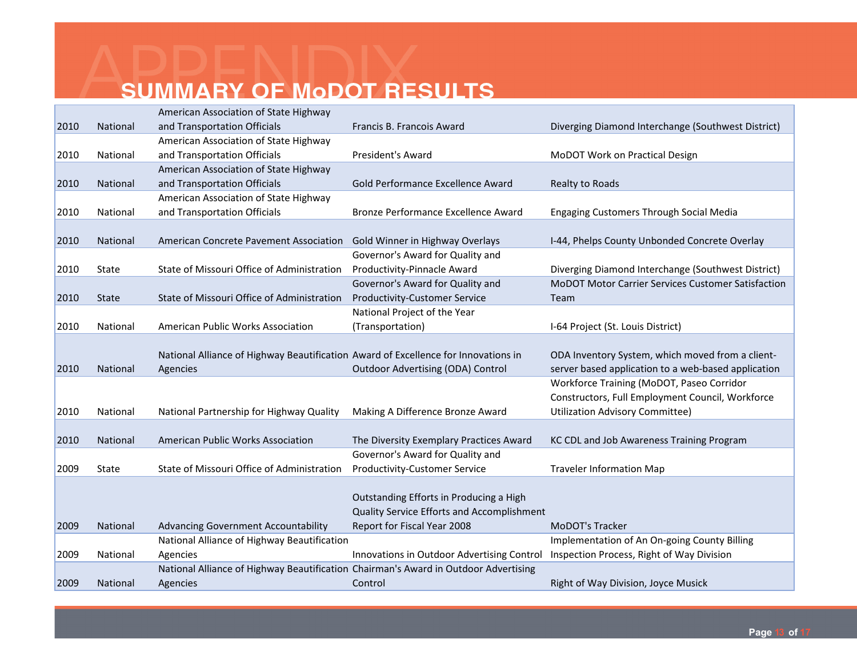|      |              | American Association of State Highway                                               |                                            |                                                           |
|------|--------------|-------------------------------------------------------------------------------------|--------------------------------------------|-----------------------------------------------------------|
| 2010 | National     | and Transportation Officials                                                        | Francis B. Francois Award                  | Diverging Diamond Interchange (Southwest District)        |
|      |              | American Association of State Highway                                               |                                            |                                                           |
| 2010 | National     | and Transportation Officials                                                        | <b>President's Award</b>                   | MoDOT Work on Practical Design                            |
|      |              | American Association of State Highway                                               |                                            |                                                           |
| 2010 | National     | and Transportation Officials                                                        | Gold Performance Excellence Award          | Realty to Roads                                           |
|      |              | American Association of State Highway                                               |                                            |                                                           |
| 2010 | National     | and Transportation Officials                                                        | Bronze Performance Excellence Award        | <b>Engaging Customers Through Social Media</b>            |
|      |              |                                                                                     |                                            |                                                           |
| 2010 | National     | American Concrete Pavement Association                                              | Gold Winner in Highway Overlays            | I-44, Phelps County Unbonded Concrete Overlay             |
|      |              |                                                                                     | Governor's Award for Quality and           |                                                           |
| 2010 | State        | State of Missouri Office of Administration                                          | Productivity-Pinnacle Award                | Diverging Diamond Interchange (Southwest District)        |
|      |              |                                                                                     | Governor's Award for Quality and           | <b>MoDOT Motor Carrier Services Customer Satisfaction</b> |
| 2010 | <b>State</b> | State of Missouri Office of Administration                                          | <b>Productivity-Customer Service</b>       | Team                                                      |
|      |              |                                                                                     | National Project of the Year               |                                                           |
| 2010 | National     | American Public Works Association                                                   | (Transportation)                           | I-64 Project (St. Louis District)                         |
|      |              |                                                                                     |                                            |                                                           |
|      |              | National Alliance of Highway Beautification Award of Excellence for Innovations in  |                                            | ODA Inventory System, which moved from a client-          |
| 2010 | National     | Agencies                                                                            | Outdoor Advertising (ODA) Control          | server based application to a web-based application       |
|      |              |                                                                                     |                                            | Workforce Training (MoDOT, Paseo Corridor                 |
|      |              |                                                                                     |                                            | Constructors, Full Employment Council, Workforce          |
| 2010 | National     | National Partnership for Highway Quality                                            | Making A Difference Bronze Award           | <b>Utilization Advisory Committee)</b>                    |
|      |              |                                                                                     |                                            |                                                           |
| 2010 | National     | American Public Works Association                                                   | The Diversity Exemplary Practices Award    | KC CDL and Job Awareness Training Program                 |
|      |              |                                                                                     | Governor's Award for Quality and           |                                                           |
| 2009 | State        | State of Missouri Office of Administration                                          | <b>Productivity-Customer Service</b>       | <b>Traveler Information Map</b>                           |
|      |              |                                                                                     |                                            |                                                           |
|      |              |                                                                                     | Outstanding Efforts in Producing a High    |                                                           |
|      |              |                                                                                     | Quality Service Efforts and Accomplishment |                                                           |
| 2009 | National     | <b>Advancing Government Accountability</b>                                          | Report for Fiscal Year 2008                | MoDOT's Tracker                                           |
|      |              | National Alliance of Highway Beautification                                         |                                            | Implementation of An On-going County Billing              |
| 2009 | National     | Agencies                                                                            | Innovations in Outdoor Advertising Control | Inspection Process, Right of Way Division                 |
|      |              | National Alliance of Highway Beautification Chairman's Award in Outdoor Advertising |                                            |                                                           |
| 2009 | National     | Agencies                                                                            | Control                                    | Right of Way Division, Joyce Musick                       |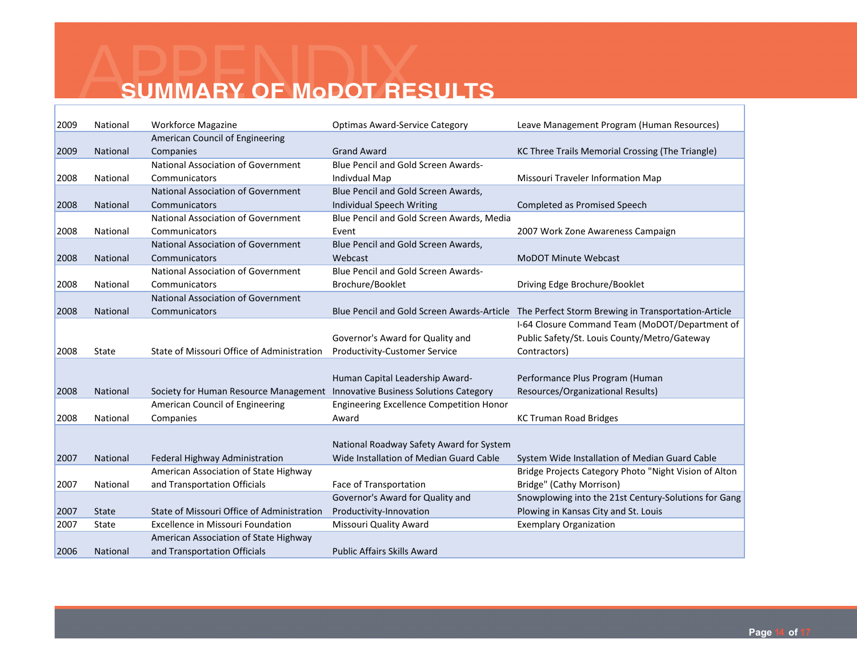| 2009 | National     | <b>Workforce Magazine</b>                                                    | <b>Optimas Award-Service Category</b>           | Leave Management Program (Human Resources)                                                     |
|------|--------------|------------------------------------------------------------------------------|-------------------------------------------------|------------------------------------------------------------------------------------------------|
|      |              | American Council of Engineering                                              |                                                 |                                                                                                |
| 2009 | National     | Companies                                                                    | <b>Grand Award</b>                              | KC Three Trails Memorial Crossing (The Triangle)                                               |
|      |              | <b>National Association of Government</b>                                    | <b>Blue Pencil and Gold Screen Awards-</b>      |                                                                                                |
| 2008 | National     | Communicators                                                                | <b>Indivdual Map</b>                            | Missouri Traveler Information Map                                                              |
|      |              | <b>National Association of Government</b>                                    | Blue Pencil and Gold Screen Awards,             |                                                                                                |
| 2008 | National     | Communicators                                                                | Individual Speech Writing                       | Completed as Promised Speech                                                                   |
|      |              | National Association of Government                                           | Blue Pencil and Gold Screen Awards, Media       |                                                                                                |
| 2008 | National     | Communicators                                                                | Event                                           | 2007 Work Zone Awareness Campaign                                                              |
|      |              | <b>National Association of Government</b>                                    | Blue Pencil and Gold Screen Awards,             |                                                                                                |
| 2008 | National     | Communicators                                                                | Webcast                                         | <b>MoDOT Minute Webcast</b>                                                                    |
|      |              | <b>National Association of Government</b>                                    | Blue Pencil and Gold Screen Awards-             |                                                                                                |
| 2008 | National     | Communicators                                                                | Brochure/Booklet                                | Driving Edge Brochure/Booklet                                                                  |
|      |              | <b>National Association of Government</b>                                    |                                                 |                                                                                                |
| 2008 | National     | Communicators                                                                |                                                 | Blue Pencil and Gold Screen Awards-Article The Perfect Storm Brewing in Transportation-Article |
|      |              |                                                                              |                                                 | I-64 Closure Command Team (MoDOT/Department of                                                 |
|      |              |                                                                              | Governor's Award for Quality and                | Public Safety/St. Louis County/Metro/Gateway                                                   |
| 2008 | State        | State of Missouri Office of Administration                                   | Productivity-Customer Service                   | Contractors)                                                                                   |
|      |              |                                                                              |                                                 |                                                                                                |
|      |              |                                                                              | Human Capital Leadership Award-                 | Performance Plus Program (Human                                                                |
| 2008 | National     | Society for Human Resource Management Innovative Business Solutions Category |                                                 | Resources/Organizational Results)                                                              |
|      |              | American Council of Engineering                                              | <b>Engineering Excellence Competition Honor</b> |                                                                                                |
| 2008 | National     | Companies                                                                    | Award                                           | <b>KC Truman Road Bridges</b>                                                                  |
|      |              |                                                                              |                                                 |                                                                                                |
|      |              |                                                                              | National Roadway Safety Award for System        |                                                                                                |
| 2007 | National     | Federal Highway Administration                                               | Wide Installation of Median Guard Cable         | System Wide Installation of Median Guard Cable                                                 |
|      |              | American Association of State Highway                                        |                                                 | Bridge Projects Category Photo "Night Vision of Alton                                          |
| 2007 | National     | and Transportation Officials                                                 | Face of Transportation                          | Bridge" (Cathy Morrison)                                                                       |
|      |              |                                                                              | Governor's Award for Quality and                | Snowplowing into the 21st Century-Solutions for Gang                                           |
| 2007 | <b>State</b> | State of Missouri Office of Administration                                   | Productivity-Innovation                         | Plowing in Kansas City and St. Louis                                                           |
| 2007 | State        | <b>Excellence in Missouri Foundation</b>                                     | Missouri Quality Award                          | <b>Exemplary Organization</b>                                                                  |
|      |              | American Association of State Highway                                        |                                                 |                                                                                                |
| 2006 | National     | and Transportation Officials                                                 | <b>Public Affairs Skills Award</b>              |                                                                                                |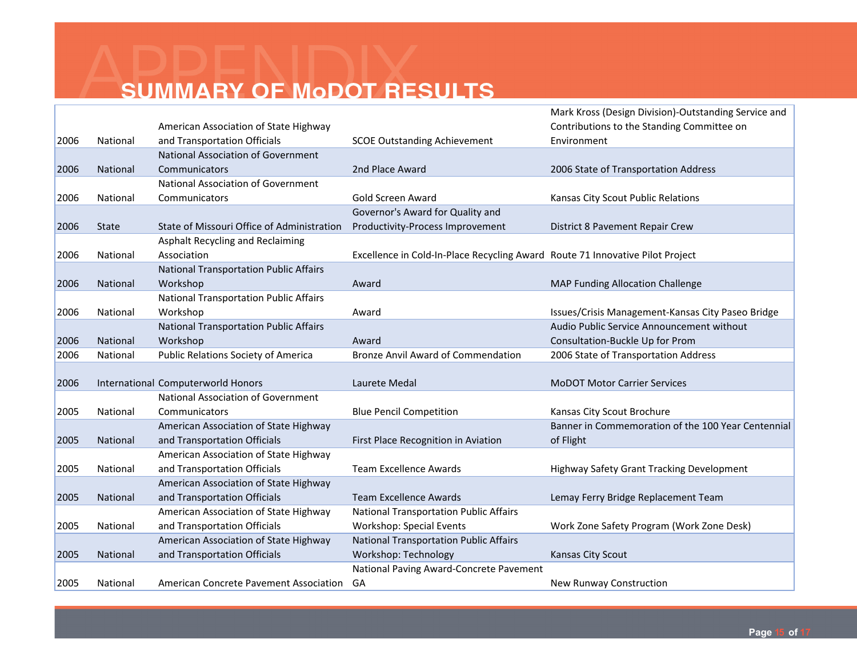|      |              |                                               |                                                                               | Mark Kross (Design Division)-Outstanding Service and |
|------|--------------|-----------------------------------------------|-------------------------------------------------------------------------------|------------------------------------------------------|
|      |              | American Association of State Highway         |                                                                               | Contributions to the Standing Committee on           |
| 2006 | National     | and Transportation Officials                  | <b>SCOE Outstanding Achievement</b>                                           | Environment                                          |
|      |              | <b>National Association of Government</b>     |                                                                               |                                                      |
| 2006 | National     | Communicators                                 | 2nd Place Award                                                               | 2006 State of Transportation Address                 |
|      |              | <b>National Association of Government</b>     |                                                                               |                                                      |
| 2006 | National     | Communicators                                 | Gold Screen Award                                                             | Kansas City Scout Public Relations                   |
|      |              |                                               | Governor's Award for Quality and                                              |                                                      |
| 2006 | <b>State</b> | State of Missouri Office of Administration    | Productivity-Process Improvement                                              | District 8 Pavement Repair Crew                      |
|      |              | Asphalt Recycling and Reclaiming              |                                                                               |                                                      |
| 2006 | National     | Association                                   | Excellence in Cold-In-Place Recycling Award Route 71 Innovative Pilot Project |                                                      |
|      |              | <b>National Transportation Public Affairs</b> |                                                                               |                                                      |
| 2006 | National     | Workshop                                      | Award                                                                         | <b>MAP Funding Allocation Challenge</b>              |
|      |              | <b>National Transportation Public Affairs</b> |                                                                               |                                                      |
| 2006 | National     | Workshop                                      | Award                                                                         | Issues/Crisis Management-Kansas City Paseo Bridge    |
|      |              | <b>National Transportation Public Affairs</b> |                                                                               | Audio Public Service Announcement without            |
| 2006 | National     | Workshop                                      | Award                                                                         | Consultation-Buckle Up for Prom                      |
| 2006 | National     | <b>Public Relations Society of America</b>    | <b>Bronze Anvil Award of Commendation</b>                                     | 2006 State of Transportation Address                 |
|      |              |                                               |                                                                               |                                                      |
| 2006 |              | International Computerworld Honors            | Laurete Medal                                                                 | <b>MoDOT Motor Carrier Services</b>                  |
|      |              | <b>National Association of Government</b>     |                                                                               |                                                      |
| 2005 | National     | Communicators                                 | <b>Blue Pencil Competition</b>                                                | Kansas City Scout Brochure                           |
|      |              | American Association of State Highway         |                                                                               | Banner in Commemoration of the 100 Year Centennial   |
| 2005 | National     | and Transportation Officials                  | First Place Recognition in Aviation                                           | of Flight                                            |
|      |              | American Association of State Highway         |                                                                               |                                                      |
| 2005 | National     | and Transportation Officials                  | <b>Team Excellence Awards</b>                                                 | Highway Safety Grant Tracking Development            |
|      |              | American Association of State Highway         |                                                                               |                                                      |
| 2005 | National     | and Transportation Officials                  | <b>Team Excellence Awards</b>                                                 | Lemay Ferry Bridge Replacement Team                  |
|      |              | American Association of State Highway         | <b>National Transportation Public Affairs</b>                                 |                                                      |
| 2005 | National     | and Transportation Officials                  | <b>Workshop: Special Events</b>                                               | Work Zone Safety Program (Work Zone Desk)            |
|      |              | American Association of State Highway         | <b>National Transportation Public Affairs</b>                                 |                                                      |
| 2005 | National     | and Transportation Officials                  | Workshop: Technology                                                          | Kansas City Scout                                    |
|      |              |                                               | National Paving Award-Concrete Pavement                                       |                                                      |
| 2005 | National     | American Concrete Pavement Association        | GA                                                                            | New Runway Construction                              |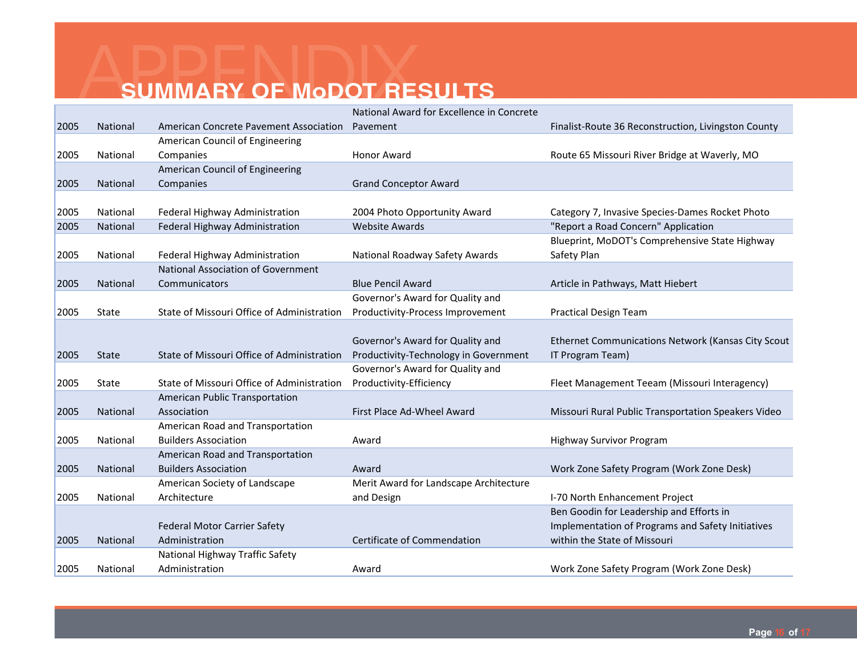|      |              |                                            | National Award for Excellence in Concrete |                                                     |
|------|--------------|--------------------------------------------|-------------------------------------------|-----------------------------------------------------|
| 2005 | National     | American Concrete Pavement Association     | Pavement                                  | Finalist-Route 36 Reconstruction, Livingston County |
|      |              | American Council of Engineering            |                                           |                                                     |
| 2005 | National     | Companies                                  | <b>Honor Award</b>                        | Route 65 Missouri River Bridge at Waverly, MO       |
|      |              | American Council of Engineering            |                                           |                                                     |
| 2005 | National     | Companies                                  | <b>Grand Conceptor Award</b>              |                                                     |
|      |              |                                            |                                           |                                                     |
| 2005 | National     | Federal Highway Administration             | 2004 Photo Opportunity Award              | Category 7, Invasive Species-Dames Rocket Photo     |
| 2005 | National     | Federal Highway Administration             | <b>Website Awards</b>                     | "Report a Road Concern" Application                 |
|      |              |                                            |                                           | Blueprint, MoDOT's Comprehensive State Highway      |
| 2005 | National     | Federal Highway Administration             | National Roadway Safety Awards            | Safety Plan                                         |
|      |              | <b>National Association of Government</b>  |                                           |                                                     |
| 2005 | National     | Communicators                              | <b>Blue Pencil Award</b>                  | Article in Pathways, Matt Hiebert                   |
|      |              |                                            | Governor's Award for Quality and          |                                                     |
| 2005 | State        | State of Missouri Office of Administration | Productivity-Process Improvement          | <b>Practical Design Team</b>                        |
|      |              |                                            |                                           |                                                     |
|      |              |                                            | Governor's Award for Quality and          | Ethernet Communications Network (Kansas City Scout  |
| 2005 | <b>State</b> | State of Missouri Office of Administration | Productivity-Technology in Government     | IT Program Team)                                    |
|      |              |                                            | Governor's Award for Quality and          |                                                     |
| 2005 | State        | State of Missouri Office of Administration | Productivity-Efficiency                   | Fleet Management Teeam (Missouri Interagency)       |
|      |              | American Public Transportation             |                                           |                                                     |
| 2005 | National     | Association                                | First Place Ad-Wheel Award                | Missouri Rural Public Transportation Speakers Video |
|      |              | American Road and Transportation           |                                           |                                                     |
| 2005 | National     | <b>Builders Association</b>                | Award                                     | <b>Highway Survivor Program</b>                     |
|      |              | American Road and Transportation           |                                           |                                                     |
| 2005 | National     | <b>Builders Association</b>                | Award                                     | Work Zone Safety Program (Work Zone Desk)           |
|      |              | American Society of Landscape              | Merit Award for Landscape Architecture    |                                                     |
| 2005 | National     | Architecture                               | and Design                                | I-70 North Enhancement Project                      |
|      |              |                                            |                                           | Ben Goodin for Leadership and Efforts in            |
|      |              | <b>Federal Motor Carrier Safety</b>        |                                           | Implementation of Programs and Safety Initiatives   |
| 2005 | National     | Administration                             | Certificate of Commendation               | within the State of Missouri                        |
|      |              | National Highway Traffic Safety            |                                           |                                                     |
| 2005 | National     | Administration                             | Award                                     | Work Zone Safety Program (Work Zone Desk)           |